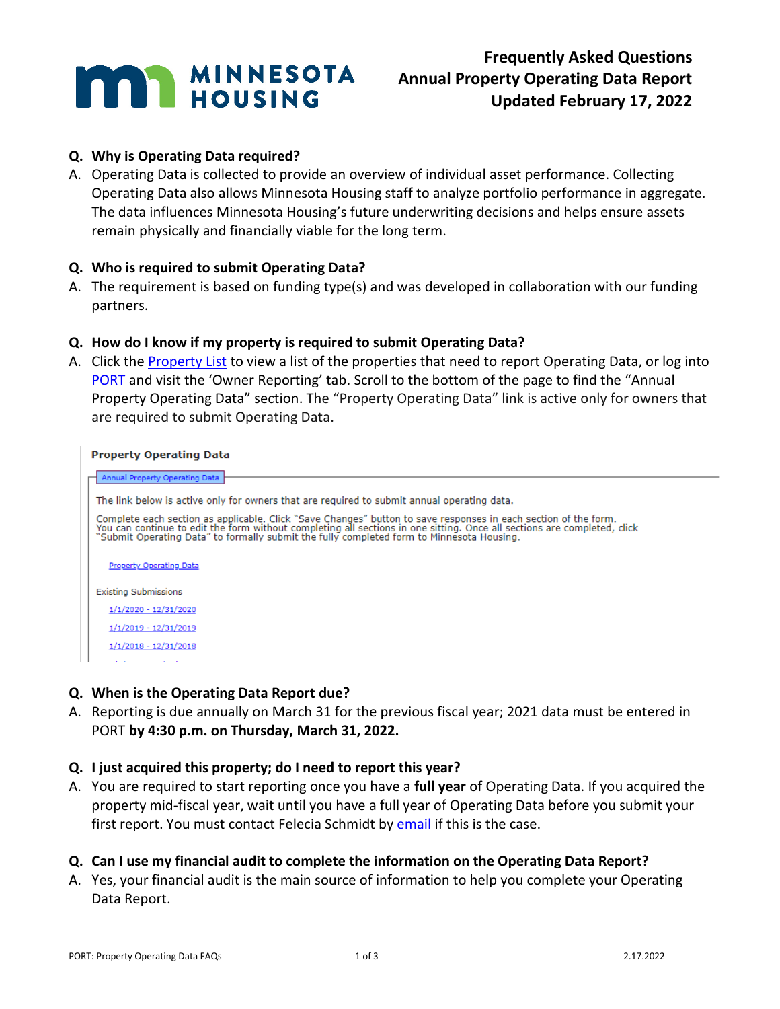

## **Q. Why is Operating Data required?**

A. Operating Data is collected to provide an overview of individual asset performance. Collecting Operating Data also allows Minnesota Housing staff to analyze portfolio performance in aggregate. The data influences Minnesota Housing's future underwriting decisions and helps ensure assets remain physically and financially viable for the long term.

## **Q. Who is required to submit Operating Data?**

A. The requirement is based on funding type(s) and was developed in collaboration with our funding partners.

## **Q. How do I know if my property is required to submit Operating Data?**

A. Click the [Property List](http://www.mnhousing.gov/download/MHFA_260877) to view a list of the properties that need to report Operating Data, or log into [PORT](https://online3.mhfa.state.mn.us/globalsignon/account/logon) and visit the 'Owner Reporting' tab. Scroll to the bottom of the page to find the "Annual Property Operating Data" section. The "Property Operating Data" link is active only for owners that are required to submit Operating Data.

#### **Property Operating Data**

| Annual Property Operating Data                                                                                                                                                                                                                                                                                                 |  |  |  |  |  |
|--------------------------------------------------------------------------------------------------------------------------------------------------------------------------------------------------------------------------------------------------------------------------------------------------------------------------------|--|--|--|--|--|
|                                                                                                                                                                                                                                                                                                                                |  |  |  |  |  |
| The link below is active only for owners that are required to submit annual operating data.                                                                                                                                                                                                                                    |  |  |  |  |  |
| Complete each section as applicable. Click "Save Changes" button to save responses in each section of the form.<br>You can continue to edit the form without completing all sections in one sitting. Once all sections are comple<br>"Submit Operating Data" to formally submit the fully completed form to Minnesota Housing. |  |  |  |  |  |
| Property Operating Data                                                                                                                                                                                                                                                                                                        |  |  |  |  |  |
| <b>Existing Submissions</b>                                                                                                                                                                                                                                                                                                    |  |  |  |  |  |
| 1/1/2020 - 12/31/2020                                                                                                                                                                                                                                                                                                          |  |  |  |  |  |
| 1/1/2019 - 12/31/2019                                                                                                                                                                                                                                                                                                          |  |  |  |  |  |
| $1/1/2018 - 12/31/2018$                                                                                                                                                                                                                                                                                                        |  |  |  |  |  |
|                                                                                                                                                                                                                                                                                                                                |  |  |  |  |  |
|                                                                                                                                                                                                                                                                                                                                |  |  |  |  |  |

## **Q. When is the Operating Data Report due?**

A. Reporting is due annually on March 31 for the previous fiscal year; 2021 data must be entered in PORT **by 4:30 p.m. on Thursday, March 31, 2022.**

## **Q. I just acquired this property; do I need to report this year?**

A. You are required to start reporting once you have a **full year** of Operating Data. If you acquired the property mid-fiscal year, wait until you have a full year of Operating Data before you submit your first report. You must contact Felecia Schmidt by [email](mailto:felecia.schmidt@state.mn.us) if this is the case.

# **Q. Can I use my financial audit to complete the information on the Operating Data Report?**

A. Yes, your financial audit is the main source of information to help you complete your Operating Data Report.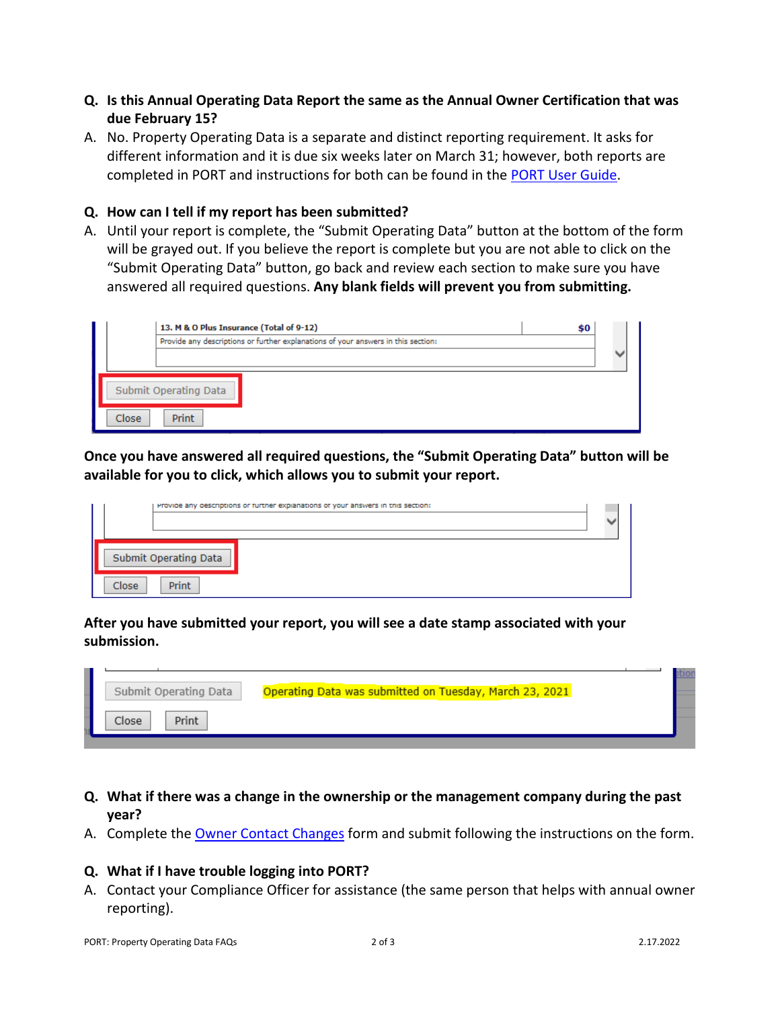- **Q. Is this Annual Operating Data Report the same as the Annual Owner Certification that was due February 15?**
- A. No. Property Operating Data is a separate and distinct reporting requirement. It asks for different information and it is due six weeks later on March 31; however, both reports are completed in PORT and instructions for both can be found in the [PORT User Guide.](https://www.mnhousing.gov/get/MHFA_1016460)

#### **Q. How can I tell if my report has been submitted?**

A. Until your report is complete, the "Submit Operating Data" button at the bottom of the form will be grayed out. If you believe the report is complete but you are not able to click on the "Submit Operating Data" button, go back and review each section to make sure you have answered all required questions. **Any blank fields will prevent you from submitting.**

|                       | 13. M & O Plus Insurance (Total of 9-12)<br>\$0                                   |  |
|-----------------------|-----------------------------------------------------------------------------------|--|
|                       | Provide any descriptions or further explanations of your answers in this section: |  |
|                       |                                                                                   |  |
| Submit Operating Data |                                                                                   |  |
| Close                 | Print                                                                             |  |

**Once you have answered all required questions, the "Submit Operating Data" button will be available for you to click, which allows you to submit your report.**

| Provide any descriptions or further explanations of your answers in this section: |  |
|-----------------------------------------------------------------------------------|--|
| Submit Operating Data                                                             |  |
| Close<br><b>Print</b>                                                             |  |

**After you have submitted your report, you will see a date stamp associated with your submission.**

| Submit Operating Data | Operating Data was submitted on Tuesday, March 23, 2021 |  |
|-----------------------|---------------------------------------------------------|--|
| Print<br><b>Close</b> |                                                         |  |

- **Q. What if there was a change in the ownership or the management company during the past year?**
- A. Complete the [Owner Contact Changes](http://www.mnhousing.gov/download/MHFA_1035823) form and submit following the instructions on the form.

#### **Q. What if I have trouble logging into PORT?**

A. Contact your Compliance Officer for assistance (the same person that helps with annual owner reporting).